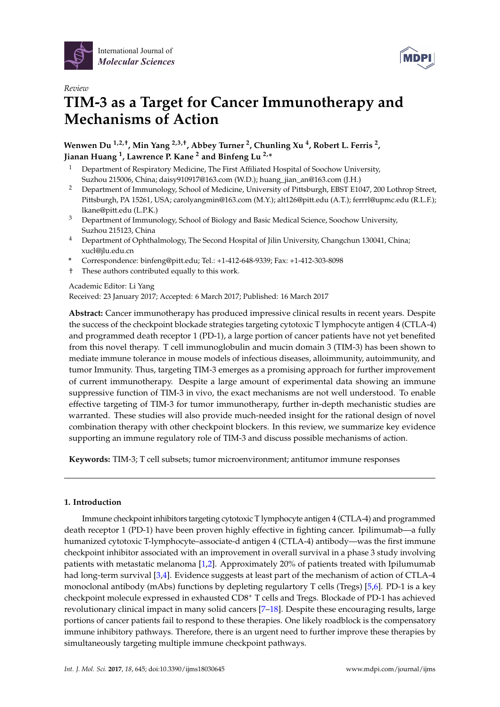





# *Review* **TIM-3 as a Target for Cancer Immunotherapy and Mechanisms of Action**

**Wenwen Du 1,2,†, Min Yang 2,3,†, Abbey Turner <sup>2</sup> , Chunling Xu <sup>4</sup> , Robert L. Ferris <sup>2</sup> , Jianan Huang <sup>1</sup> , Lawrence P. Kane <sup>2</sup> and Binfeng Lu 2,\***

- <sup>1</sup> Department of Respiratory Medicine, The First Affiliated Hospital of Soochow University, Suzhou 215006, China; daisy910917@163.com (W.D.); huang\_jian\_an@163.com (J.H.)
- <sup>2</sup> Department of Immunology, School of Medicine, University of Pittsburgh, EBST E1047, 200 Lothrop Street, Pittsburgh, PA 15261, USA; carolyangmin@163.com (M.Y.); alt126@pitt.edu (A.T.); ferrrl@upmc.edu (R.L.F.); lkane@pitt.edu (L.P.K.)
- <sup>3</sup> Department of Immunology, School of Biology and Basic Medical Science, Soochow University, Suzhou 215123, China
- <sup>4</sup> Department of Ophthalmology, The Second Hospital of Jilin University, Changchun 130041, China; xucl@jlu.edu.cn
- **\*** Correspondence: binfeng@pitt.edu; Tel.: +1-412-648-9339; Fax: +1-412-303-8098
- † These authors contributed equally to this work.

Academic Editor: Li Yang

Received: 23 January 2017; Accepted: 6 March 2017; Published: 16 March 2017

**Abstract:** Cancer immunotherapy has produced impressive clinical results in recent years. Despite the success of the checkpoint blockade strategies targeting cytotoxic T lymphocyte antigen 4 (CTLA-4) and programmed death receptor 1 (PD-1), a large portion of cancer patients have not yet benefited from this novel therapy. T cell immunoglobulin and mucin domain 3 (TIM-3) has been shown to mediate immune tolerance in mouse models of infectious diseases, alloimmunity, autoimmunity, and tumor Immunity. Thus, targeting TIM-3 emerges as a promising approach for further improvement of current immunotherapy. Despite a large amount of experimental data showing an immune suppressive function of TIM-3 in vivo, the exact mechanisms are not well understood. To enable effective targeting of TIM-3 for tumor immunotherapy, further in-depth mechanistic studies are warranted. These studies will also provide much-needed insight for the rational design of novel combination therapy with other checkpoint blockers. In this review, we summarize key evidence supporting an immune regulatory role of TIM-3 and discuss possible mechanisms of action.

**Keywords:** TIM-3; T cell subsets; tumor microenvironment; antitumor immune responses

# **1. Introduction**

Immune checkpoint inhibitors targeting cytotoxic T lymphocyte antigen 4 (CTLA-4) and programmed death receptor 1 (PD-1) have been proven highly effective in fighting cancer. Ipilimumab—a fully humanized cytotoxic T-lymphocyte–associate-d antigen 4 (CTLA-4) antibody—was the first immune checkpoint inhibitor associated with an improvement in overall survival in a phase 3 study involving patients with metastatic melanoma [\[1,](#page-6-0)[2\]](#page-6-1). Approximately 20% of patients treated with Ipilumumab had long-term survival [\[3](#page-6-2)[,4\]](#page-6-3). Evidence suggests at least part of the mechanism of action of CTLA-4 monoclonal antibody (mAbs) functions by depleting regulartory T cells (Tregs) [\[5,](#page-6-4)[6\]](#page-6-5). PD-1 is a key checkpoint molecule expressed in exhausted CD8<sup>+</sup> T cells and Tregs. Blockade of PD-1 has achieved revolutionary clinical impact in many solid cancers [\[7](#page-6-6)[–18\]](#page-7-0). Despite these encouraging results, large portions of cancer patients fail to respond to these therapies. One likely roadblock is the compensatory immune inhibitory pathways. Therefore, there is an urgent need to further improve these therapies by simultaneously targeting multiple immune checkpoint pathways.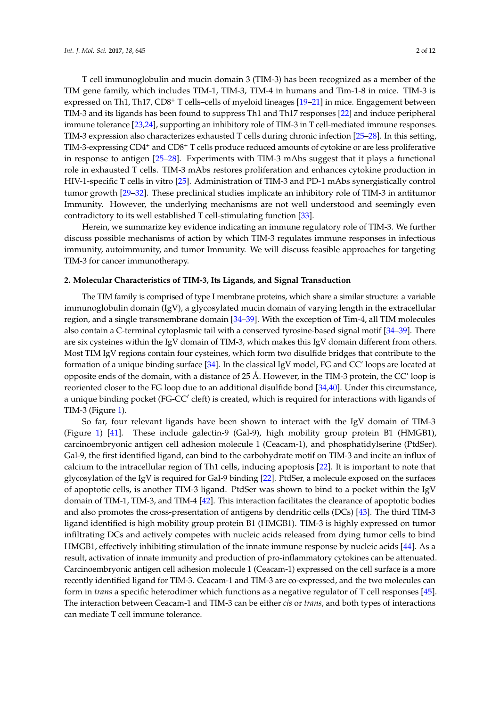T cell immunoglobulin and mucin domain 3 (TIM-3) has been recognized as a member of the TIM gene family, which includes TIM-1, TIM-3, TIM-4 in humans and Tim-1-8 in mice. TIM-3 is expressed on Th1, Th17, CD8<sup>+</sup> T cells–cells of myeloid lineages [\[19](#page-7-1)[–21\]](#page-7-2) in mice. Engagement between TIM-3 and its ligands has been found to suppress Th1 and Th17 responses [\[22\]](#page-7-3) and induce peripheral immune tolerance [\[23](#page-7-4)[,24\]](#page-7-5), supporting an inhibitory role of TIM-3 in T cell-mediated immune responses. TIM-3 expression also characterizes exhausted T cells during chronic infection [\[25–](#page-7-6)[28\]](#page-7-7). In this setting, TIM-3-expressing CD4<sup>+</sup> and CD8<sup>+</sup> T cells produce reduced amounts of cytokine or are less proliferative in response to antigen [\[25](#page-7-6)[–28\]](#page-7-7). Experiments with TIM-3 mAbs suggest that it plays a functional role in exhausted T cells. TIM-3 mAbs restores proliferation and enhances cytokine production in HIV-1-specific T cells in vitro [\[25\]](#page-7-6). Administration of TIM-3 and PD-1 mAbs synergistically control tumor growth [\[29](#page-8-0)[–32\]](#page-8-1). These preclinical studies implicate an inhibitory role of TIM-3 in antitumor Immunity. However, the underlying mechanisms are not well understood and seemingly even contradictory to its well established T cell-stimulating function [\[33\]](#page-8-2).

Herein, we summarize key evidence indicating an immune regulatory role of TIM-3. We further discuss possible mechanisms of action by which TIM-3 regulates immune responses in infectious immunity, autoimmunity, and tumor Immunity. We will discuss feasible approaches for targeting TIM-3 for cancer immunotherapy.

## **2. Molecular Characteristics of TIM-3, Its Ligands, and Signal Transduction**

The TIM family is comprised of type I membrane proteins, which share a similar structure: a variable immunoglobulin domain (IgV), a glycosylated mucin domain of varying length in the extracellular region, and a single transmembrane domain [\[34](#page-8-3)[–39\]](#page-8-4). With the exception of Tim-4, all TIM molecules also contain a C-terminal cytoplasmic tail with a conserved tyrosine-based signal motif [\[34](#page-8-3)[–39\]](#page-8-4). There are six cysteines within the IgV domain of TIM-3, which makes this IgV domain different from others. Most TIM IgV regions contain four cysteines, which form two disulfide bridges that contribute to the formation of a unique binding surface [\[34\]](#page-8-3). In the classical IgV model, FG and CC' loops are located at opposite ends of the domain, with a distance of 25 Å. However, in the TIM-3 protein, the CC' loop is reoriented closer to the FG loop due to an additional disulfide bond [\[34,](#page-8-3)[40\]](#page-8-5). Under this circumstance, a unique binding pocket (FG-CC' cleft) is created, which is required for interactions with ligands of TIM-3 (Figure [1\)](#page-2-0).

So far, four relevant ligands have been shown to interact with the IgV domain of TIM-3 (Figure [1\)](#page-2-0) [\[41\]](#page-8-6). These include galectin-9 (Gal-9), high mobility group protein B1 (HMGB1), carcinoembryonic antigen cell adhesion molecule 1 (Ceacam-1), and phosphatidylserine (PtdSer). Gal-9, the first identified ligand, can bind to the carbohydrate motif on TIM-3 and incite an influx of calcium to the intracellular region of Th1 cells, inducing apoptosis [\[22\]](#page-7-3). It is important to note that glycosylation of the IgV is required for Gal-9 binding [\[22\]](#page-7-3). PtdSer, a molecule exposed on the surfaces of apoptotic cells, is another TIM-3 ligand. PtdSer was shown to bind to a pocket within the IgV domain of TIM-1, TIM-3, and TIM-4 [\[42\]](#page-8-7). This interaction facilitates the clearance of apoptotic bodies and also promotes the cross-presentation of antigens by dendritic cells (DCs) [\[43\]](#page-8-8). The third TIM-3 ligand identified is high mobility group protein B1 (HMGB1). TIM-3 is highly expressed on tumor infiltrating DCs and actively competes with nucleic acids released from dying tumor cells to bind HMGB1, effectively inhibiting stimulation of the innate immune response by nucleic acids [\[44\]](#page-8-9). As a result, activation of innate immunity and production of pro-inflammatory cytokines can be attenuated. Carcinoembryonic antigen cell adhesion molecule 1 (Ceacam-1) expressed on the cell surface is a more recently identified ligand for TIM-3. Ceacam-1 and TIM-3 are co-expressed, and the two molecules can form in *trans* a specific heterodimer which functions as a negative regulator of T cell responses [\[45\]](#page-8-10). The interaction between Ceacam-1 and TIM-3 can be either *cis* or *trans*, and both types of interactions can mediate T cell immune tolerance.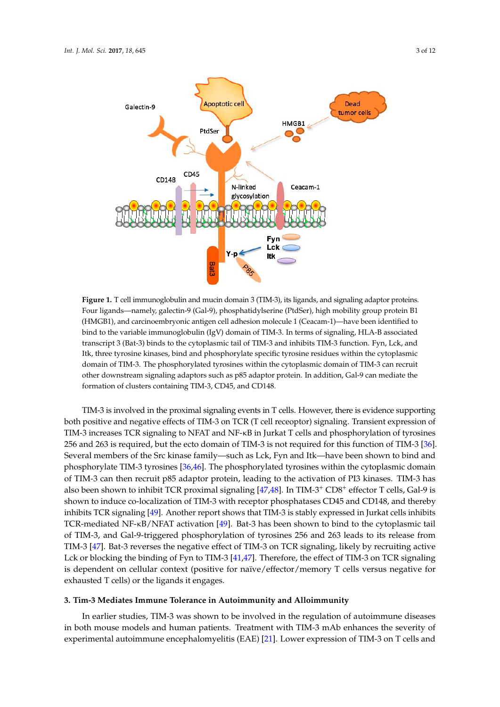<span id="page-2-0"></span>

**Figure 1.** T cell immunoglobulin and mucin domain 3 (TIM-3), its ligands, and signaling adaptor **Figure 1.** T cell immunoglobulin and mucin domain 3 (TIM-3), its ligands, and signaling adaptor proteins. proteins. Four ligands—namely, galectin-9 (Gal-9), phosphatidylserine (PtdSer), high mobility group Four ligands—namely, galectin-9 (Gal-9), phosphatidylserine (PtdSer), high mobility group protein B1 protein B1 (HMGB1), and carcinoembryonic antigen cell adhesion molecule 1 (Ceacam-1)—have (HMGB1), and carcinoembryonic antigen cell adhesion molecule 1 (Ceacam-1)—have been identified to bind to the variable immunoglobulin (IgV) domain of TIM-3. In terms of signaling, HLA-B associated transcript 3 (Bat-3) binds to the cytoplasmic tail of TIM-3 and inhibits TIM-3 function. Fyn, Lck, and Itk, three tyrosine kinases, bind and phosphorylate specific tyrosine residues within the cytoplasmic domain of TIM-3. The phosphorylated tyrosines within the cytoplasmic domain of TIM-3 can recruit other downstream signaling adaptors such as p85 adaptor protein. In addition, Gal-9 can mediate the<br>. formation of clusters containing TIM-3, CD45, and CD148.

TIM-3 is involved in the proximal signaling events in T cells. However, there is evidence TIM-3 is involved in the proximal signaling events in T cells. However, there is evidence supporting both positive and negative effects of TIM-3 on TCR (T cell receoptor) signaling. Transient expression of TIM-3 increases TCR signaling to NFAT and NF-κB in Jurkat T cells and phosphorylation of tyrosines 256 and 263 is required, but the ecto domain of TIM-3 is not required for this function of TIM-3 [\[36\]](#page-8-11). Several members of the Src kinase family—such as Lck, Fyn and Itk—have been shown to bind and phosphorylate TIM-3 tyrosines [36,46]. The phosphorylated tyrosines within the cytoplasmic domain of TIM-3 can then recruit p85 adaptor protein, leading to the activation of PI3 kinases. TIM-3 has also been s[how](#page-8-13)[n t](#page-9-0)o inhibit TCR proximal signaling [47,48]. In TIM-3<sup>+</sup> CD8<sup>+</sup> effector T cells, Gal-9 is shown to induce co-localization of TIM-3 with receptor phosphatases CD45 and CD148, and thereby inhibits TCR signaling [49]. Another report shows that TIM-3 is stably expressed in Jurkat cells inhibits TCR-mediated NF-κB/NFAT activation [49]. Bat-3 has been shown to bind to the cytoplasmic tail of TIM-3, and Gal-9-triggered phosphorylation of tyrosines 256 and 263 leads to its release from TIM-3 [47]. Bat-3 reverses the negative effect of TIM-3 on TCR signaling, likely by recruiting active [Lck](#page-8-13) or blocking the binding of Fyn to TIM-3 [41,47]. Therefore, the effect of TIM-3 on TCR signaling is dependent on cellular context (positive for naïve/effector/memory T cells versus negative for exhausted T cells) or the ligands it engages.

# **3. Tim-3 Mediates Immune Tolerance in Autoimmunity and Alloimmunity 3. Tim-3 Mediates Immune Tolerance in Autoimmunity and Alloimmunity**

In earlier studies, TIM-3 was shown to be involved in the regulation of autoimmune diseases both mouse models and human patients. Treatment with TIM-3 mAb enhances the severity of in both mouse models and human patients. Treatment with TIM-3 mAb enhances the severity of experimental autoimmune encephalomyelitis (EAE) [21]. Lower expression of TIM-3 on T cells and experimental autoimmune encephalomyelitis (EAE) [\[21\]](#page-7-2). Lower expression of TIM-3 on T cells and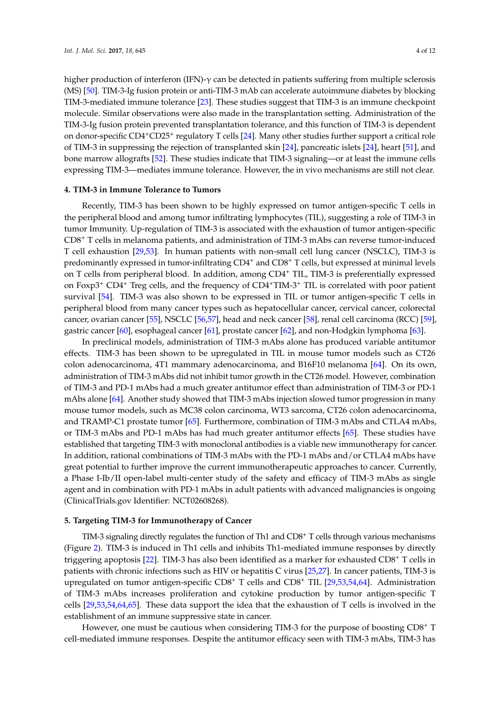higher production of interferon (IFN)-γ can be detected in patients suffering from multiple sclerosis (MS) [\[50\]](#page-9-2). TIM-3-Ig fusion protein or anti-TIM-3 mAb can accelerate autoimmune diabetes by blocking TIM-3-mediated immune tolerance [\[23\]](#page-7-4). These studies suggest that TIM-3 is an immune checkpoint molecule. Similar observations were also made in the transplantation setting. Administration of the TIM-3-Ig fusion protein prevented transplantation tolerance, and this function of TIM-3 is dependent on donor-specific CD4<sup>+</sup>CD25<sup>+</sup> regulatory T cells [\[24\]](#page-7-5). Many other studies further support a critical role of TIM-3 in suppressing the rejection of transplanted skin [\[24\]](#page-7-5), pancreatic islets [\[24\]](#page-7-5), heart [\[51\]](#page-9-3), and bone marrow allografts [\[52\]](#page-9-4). These studies indicate that TIM-3 signaling—or at least the immune cells expressing TIM-3—mediates immune tolerance. However, the in vivo mechanisms are still not clear.

#### **4. TIM-3 in Immune Tolerance to Tumors**

Recently, TIM-3 has been shown to be highly expressed on tumor antigen-specific T cells in the peripheral blood and among tumor infiltrating lymphocytes (TIL), suggesting a role of TIM-3 in tumor Immunity. Up-regulation of TIM-3 is associated with the exhaustion of tumor antigen-specific CD8<sup>+</sup> T cells in melanoma patients, and administration of TIM-3 mAbs can reverse tumor-induced T cell exhaustion [\[29,](#page-8-0)[53\]](#page-9-5). In human patients with non-small cell lung cancer (NSCLC), TIM-3 is predominantly expressed in tumor-infiltrating CD4<sup>+</sup> and CD8<sup>+</sup> T cells, but expressed at minimal levels on T cells from peripheral blood. In addition, among CD4<sup>+</sup> TIL, TIM-3 is preferentially expressed on Foxp3<sup>+</sup> CD4<sup>+</sup> Treg cells, and the frequency of CD4+TIM-3<sup>+</sup> TIL is correlated with poor patient survival [\[54\]](#page-9-6). TIM-3 was also shown to be expressed in TIL or tumor antigen-specific T cells in peripheral blood from many cancer types such as hepatocellular cancer, cervical cancer, colorectal cancer, ovarian cancer [\[55\]](#page-9-7), NSCLC [\[56](#page-9-8)[,57\]](#page-9-9), head and neck cancer [\[58\]](#page-9-10), renal cell carcinoma (RCC) [\[59\]](#page-9-11), gastric cancer [\[60\]](#page-9-12), esophageal cancer [\[61\]](#page-9-13), prostate cancer [\[62\]](#page-9-14), and non-Hodgkin lymphoma [\[63\]](#page-9-15).

In preclinical models, administration of TIM-3 mAbs alone has produced variable antitumor effects. TIM-3 has been shown to be upregulated in TIL in mouse tumor models such as CT26 colon adenocarcinoma, 4T1 mammary adenocarcinoma, and B16F10 melanoma [\[64\]](#page-9-16). On its own, administration of TIM-3 mAbs did not inhibit tumor growth in the CT26 model. However, combination of TIM-3 and PD-1 mAbs had a much greater antitumor effect than administration of TIM-3 or PD-1 mAbs alone [\[64\]](#page-9-16). Another study showed that TIM-3 mAbs injection slowed tumor progression in many mouse tumor models, such as MC38 colon carcinoma, WT3 sarcoma, CT26 colon adenocarcinoma, and TRAMP-C1 prostate tumor [\[65\]](#page-9-17). Furthermore, combination of TIM-3 mAbs and CTLA4 mAbs, or TIM-3 mAbs and PD-1 mAbs has had much greater antitumor effects [\[65\]](#page-9-17). These studies have established that targeting TIM-3 with monoclonal antibodies is a viable new immunotherapy for cancer. In addition, rational combinations of TIM-3 mAbs with the PD-1 mAbs and/or CTLA4 mAbs have great potential to further improve the current immunotherapeutic approaches to cancer. Currently, a Phase I-Ib/II open-label multi-center study of the safety and efficacy of TIM-3 mAbs as single agent and in combination with PD-1 mAbs in adult patients with advanced malignancies is ongoing (ClinicalTrials.gov Identifier: NCT02608268).

## **5. Targeting TIM-3 for Immunotherapy of Cancer**

TIM-3 signaling directly regulates the function of Th1 and CD8<sup>+</sup> T cells through various mechanisms (Figure [2\)](#page-4-0). TIM-3 is induced in Th1 cells and inhibits Th1-mediated immune responses by directly triggering apoptosis [\[22\]](#page-7-3). TIM-3 has also been identified as a marker for exhausted CD8<sup>+</sup> T cells in patients with chronic infections such as HIV or hepatitis C virus [\[25,](#page-7-6)[27\]](#page-7-8). In cancer patients, TIM-3 is upregulated on tumor antigen-specific CD8<sup>+</sup> T cells and CD8<sup>+</sup> TIL [\[29,](#page-8-0)[53,](#page-9-5)[54,](#page-9-6)[64\]](#page-9-16). Administration of TIM-3 mAbs increases proliferation and cytokine production by tumor antigen-specific T cells [\[29,](#page-8-0)[53,](#page-9-5)[54,](#page-9-6)[64,](#page-9-16)[65\]](#page-9-17). These data support the idea that the exhaustion of T cells is involved in the establishment of an immune suppressive state in cancer.

However, one must be cautious when considering TIM-3 for the purpose of boosting CD8<sup>+</sup> T cell-mediated immune responses. Despite the antitumor efficacy seen with TIM-3 mAbs, TIM-3 has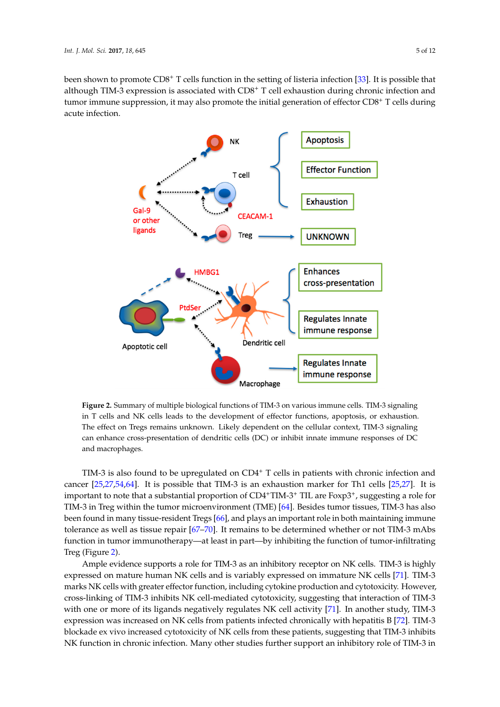been shown to promote CD8<sup>+</sup> T cells function in the setting of listeria infection [\[33\]](#page-8-2). It is possible that although TIM-3 expression is associated with CD8<sup>+</sup> T cell exhaustion during chronic infection and tumor immune suppression, it may also promote the initial generation of effector CD8<sup>+</sup> T cells during<br>equito infection acute infection. during acute infection.

<span id="page-4-0"></span>

**Figure 2.** Summary of multiple biological functions of TIM-3 on various immune cells. TIM-3 **Figure 2.** Summary of multiple biological functions of TIM-3 on various immune cells. TIM-3 signaling in T cells and NK cells leads to the development of effector functions, apoptosis, or exhaustion. The effect on Tregs remains unknown. Likely dependent on the cellular context, TIM-3 signaling can enhance cross-presentation of dendritic cells (DC) or inhibit innate immune responses of DC and macrophages.

TIM-3 is also found to be upper guidated on  $C$  cells in patients with chronic infection and chronic infection and  $\alpha$ TIM-3 is also found to be upregulated on  $CD4^+$  T cells in patients with chronic infection and cancer  $[25,27,54,64]$  $[25,27,54,64]$  $[25,27,54,64]$  $[25,27,54,64]$ . It is possible that TIM-3 is an exhaustion marker for Th1 cells  $[25,27]$  $[25,27]$ . It is important to note that a substantial proportion of  $CD4+TIM-3+ TIL$  are  $F\alpha p3+$ , suggesting a role for TIM-3 in Treg within the tumor microenvironment (TME) [\[64\]](#page-9-16). Besides tumor tissues, TIM-3 has also been found in many tissue-resident Tregs  $[66]$ , and plays an important role in both maintaining immune tolerance as well as tissue repair  $[67–70]$  $[67–70]$ . It remains to be determined whether or not TIM-3 mAbs function in tumor immunotherapy—at least in part—by inhibiting the function of tumor-infiltrating  $\beta$  (rigule 2). Treg (Figure [2\)](#page-4-0).

Ample evidence supports a role for TIM-3 as an inhibitory receptor on NK cells. TIM-3 is highly expressed on mature human NK cells and is variably expressed on immature NK cells [\[71\]](#page-10-3). TIM-3 marks NK cells with greater effector function, including cytokine production and cytotoxicity. However, cross-linking of TIM-3 inhibits NK cell-mediated cytotoxicity, suggesting that interaction of TIM-3 with one or more of its ligands negatively regulates NK cell activity [\[71\]](#page-10-3). In another study, TIM-3 expression was increased on NK cells from patients infected chronically with hepatitis B [\[72\]](#page-10-4). TIM-3 blockade ex vivo increased cytotoxicity of NK cells from these patients, suggesting that TIM-3 inhibits NK function in chronic infection. Many other studies further support an inhibitory role of TIM-3 in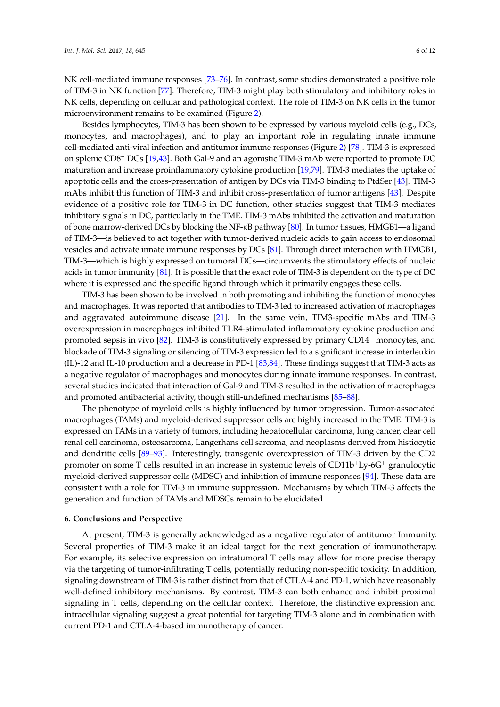NK cell-mediated immune responses [\[73](#page-10-5)[–76\]](#page-10-6). In contrast, some studies demonstrated a positive role of TIM-3 in NK function [\[77\]](#page-10-7). Therefore, TIM-3 might play both stimulatory and inhibitory roles in NK cells, depending on cellular and pathological context. The role of TIM-3 on NK cells in the tumor microenvironment remains to be examined (Figure [2\)](#page-4-0).

Besides lymphocytes, TIM-3 has been shown to be expressed by various myeloid cells (e.g., DCs, monocytes, and macrophages), and to play an important role in regulating innate immune cell-mediated anti-viral infection and antitumor immune responses (Figure [2\)](#page-4-0) [\[78\]](#page-10-8). TIM-3 is expressed on splenic CD8<sup>+</sup> DCs [\[19,](#page-7-1)[43\]](#page-8-8). Both Gal-9 and an agonistic TIM-3 mAb were reported to promote DC maturation and increase proinflammatory cytokine production [\[19](#page-7-1)[,79\]](#page-10-9). TIM-3 mediates the uptake of apoptotic cells and the cross-presentation of antigen by DCs via TIM-3 binding to PtdSer [\[43\]](#page-8-8). TIM-3 mAbs inhibit this function of TIM-3 and inhibit cross-presentation of tumor antigens [\[43\]](#page-8-8). Despite evidence of a positive role for TIM-3 in DC function, other studies suggest that TIM-3 mediates inhibitory signals in DC, particularly in the TME. TIM-3 mAbs inhibited the activation and maturation of bone marrow-derived DCs by blocking the NF-κB pathway [\[80\]](#page-10-10). In tumor tissues, HMGB1—a ligand of TIM-3—is believed to act together with tumor-derived nucleic acids to gain access to endosomal vesicles and activate innate immune responses by DCs [\[81\]](#page-10-11). Through direct interaction with HMGB1, TIM-3—which is highly expressed on tumoral DCs—circumvents the stimulatory effects of nucleic acids in tumor immunity [\[81\]](#page-10-11). It is possible that the exact role of TIM-3 is dependent on the type of DC where it is expressed and the specific ligand through which it primarily engages these cells.

TIM-3 has been shown to be involved in both promoting and inhibiting the function of monocytes and macrophages. It was reported that antibodies to TIM-3 led to increased activation of macrophages and aggravated autoimmune disease [\[21\]](#page-7-2). In the same vein, TIM3-specific mAbs and TIM-3 overexpression in macrophages inhibited TLR4-stimulated inflammatory cytokine production and promoted sepsis in vivo  $[82]$ . TIM-3 is constitutively expressed by primary CD14<sup>+</sup> monocytes, and blockade of TIM-3 signaling or silencing of TIM-3 expression led to a significant increase in interleukin (IL)-12 and IL-10 production and a decrease in PD-1 [\[83,](#page-10-13)[84\]](#page-11-0). These findings suggest that TIM-3 acts as a negative regulator of macrophages and monocytes during innate immune responses. In contrast, several studies indicated that interaction of Gal-9 and TIM-3 resulted in the activation of macrophages and promoted antibacterial activity, though still-undefined mechanisms [\[85–](#page-11-1)[88\]](#page-11-2).

The phenotype of myeloid cells is highly influenced by tumor progression. Tumor-associated macrophages (TAMs) and myeloid-derived suppressor cells are highly increased in the TME. TIM-3 is expressed on TAMs in a variety of tumors, including hepatocellular carcinoma, lung cancer, clear cell renal cell carcinoma, osteosarcoma, Langerhans cell sarcoma, and neoplasms derived from histiocytic and dendritic cells [\[89](#page-11-3)[–93\]](#page-11-4). Interestingly, transgenic overexpression of TIM-3 driven by the CD2 promoter on some T cells resulted in an increase in systemic levels of CD11b+Ly-6G<sup>+</sup> granulocytic myeloid-derived suppressor cells (MDSC) and inhibition of immune responses [\[94\]](#page-11-5). These data are consistent with a role for TIM-3 in immune suppression. Mechanisms by which TIM-3 affects the generation and function of TAMs and MDSCs remain to be elucidated.

## **6. Conclusions and Perspective**

At present, TIM-3 is generally acknowledged as a negative regulator of antitumor Immunity. Several properties of TIM-3 make it an ideal target for the next generation of immunotherapy. For example, its selective expression on intratumoral T cells may allow for more precise therapy via the targeting of tumor-infiltrating T cells, potentially reducing non-specific toxicity. In addition, signaling downstream of TIM-3 is rather distinct from that of CTLA-4 and PD-1, which have reasonably well-defined inhibitory mechanisms. By contrast, TIM-3 can both enhance and inhibit proximal signaling in T cells, depending on the cellular context. Therefore, the distinctive expression and intracellular signaling suggest a great potential for targeting TIM-3 alone and in combination with current PD-1 and CTLA-4-based immunotherapy of cancer.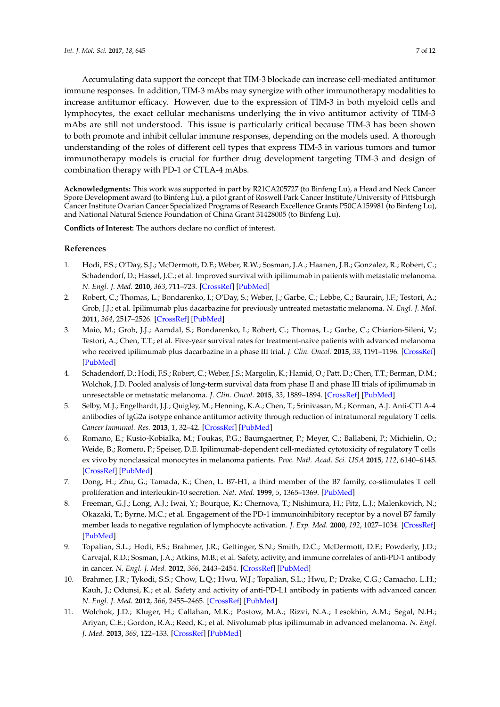Accumulating data support the concept that TIM-3 blockade can increase cell-mediated antitumor immune responses. In addition, TIM-3 mAbs may synergize with other immunotherapy modalities to increase antitumor efficacy. However, due to the expression of TIM-3 in both myeloid cells and lymphocytes, the exact cellular mechanisms underlying the in vivo antitumor activity of TIM-3 mAbs are still not understood. This issue is particularly critical because TIM-3 has been shown to both promote and inhibit cellular immune responses, depending on the models used. A thorough understanding of the roles of different cell types that express TIM-3 in various tumors and tumor immunotherapy models is crucial for further drug development targeting TIM-3 and design of combination therapy with PD-1 or CTLA-4 mAbs.

**Acknowledgments:** This work was supported in part by R21CA205727 (to Binfeng Lu), a Head and Neck Cancer Spore Development award (to Binfeng Lu), a pilot grant of Roswell Park Cancer Institute/University of Pittsburgh Cancer Institute Ovarian Cancer Specialized Programs of Research Excellence Grants P50CA159981 (to Binfeng Lu), and National Natural Science Foundation of China Grant 31428005 (to Binfeng Lu).

**Conflicts of Interest:** The authors declare no conflict of interest.

# **References**

- <span id="page-6-0"></span>1. Hodi, F.S.; O'Day, S.J.; McDermott, D.F.; Weber, R.W.; Sosman, J.A.; Haanen, J.B.; Gonzalez, R.; Robert, C.; Schadendorf, D.; Hassel, J.C.; et al. Improved survival with ipilimumab in patients with metastatic melanoma. *N. Engl. J. Med.* **2010**, *363*, 711–723. [\[CrossRef\]](http://dx.doi.org/10.1056/NEJMoa1003466) [\[PubMed\]](http://www.ncbi.nlm.nih.gov/pubmed/20525992)
- <span id="page-6-1"></span>2. Robert, C.; Thomas, L.; Bondarenko, I.; O'Day, S.; Weber, J.; Garbe, C.; Lebbe, C.; Baurain, J.F.; Testori, A.; Grob, J.J.; et al. Ipilimumab plus dacarbazine for previously untreated metastatic melanoma. *N. Engl. J. Med.* **2011**, *364*, 2517–2526. [\[CrossRef\]](http://dx.doi.org/10.1056/NEJMoa1104621) [\[PubMed\]](http://www.ncbi.nlm.nih.gov/pubmed/21639810)
- <span id="page-6-2"></span>3. Maio, M.; Grob, J.J.; Aamdal, S.; Bondarenko, I.; Robert, C.; Thomas, L.; Garbe, C.; Chiarion-Sileni, V.; Testori, A.; Chen, T.T.; et al. Five-year survival rates for treatment-naive patients with advanced melanoma who received ipilimumab plus dacarbazine in a phase III trial. *J. Clin. Oncol.* **2015**, *33*, 1191–1196. [\[CrossRef\]](http://dx.doi.org/10.1200/JCO.2014.56.6018) [\[PubMed\]](http://www.ncbi.nlm.nih.gov/pubmed/25713437)
- <span id="page-6-3"></span>4. Schadendorf, D.; Hodi, F.S.; Robert, C.; Weber, J.S.; Margolin, K.; Hamid, O.; Patt, D.; Chen, T.T.; Berman, D.M.; Wolchok, J.D. Pooled analysis of long-term survival data from phase II and phase III trials of ipilimumab in unresectable or metastatic melanoma. *J. Clin. Oncol.* **2015**, *33*, 1889–1894. [\[CrossRef\]](http://dx.doi.org/10.1200/JCO.2014.56.2736) [\[PubMed\]](http://www.ncbi.nlm.nih.gov/pubmed/25667295)
- <span id="page-6-4"></span>5. Selby, M.J.; Engelhardt, J.J.; Quigley, M.; Henning, K.A.; Chen, T.; Srinivasan, M.; Korman, A.J. Anti-CTLA-4 antibodies of IgG2a isotype enhance antitumor activity through reduction of intratumoral regulatory T cells. *Cancer Immunol. Res.* **2013**, *1*, 32–42. [\[CrossRef\]](http://dx.doi.org/10.1158/2326-6066.CIR-13-0013) [\[PubMed\]](http://www.ncbi.nlm.nih.gov/pubmed/24777248)
- <span id="page-6-5"></span>6. Romano, E.; Kusio-Kobialka, M.; Foukas, P.G.; Baumgaertner, P.; Meyer, C.; Ballabeni, P.; Michielin, O.; Weide, B.; Romero, P.; Speiser, D.E. Ipilimumab-dependent cell-mediated cytotoxicity of regulatory T cells ex vivo by nonclassical monocytes in melanoma patients. *Proc. Natl. Acad. Sci. USA* **2015**, *112*, 6140–6145. [\[CrossRef\]](http://dx.doi.org/10.1073/pnas.1417320112) [\[PubMed\]](http://www.ncbi.nlm.nih.gov/pubmed/25918390)
- <span id="page-6-6"></span>7. Dong, H.; Zhu, G.; Tamada, K.; Chen, L. B7-H1, a third member of the B7 family, co-stimulates T cell proliferation and interleukin-10 secretion. *Nat. Med.* **1999**, *5*, 1365–1369. [\[PubMed\]](http://www.ncbi.nlm.nih.gov/pubmed/10581077)
- 8. Freeman, G.J.; Long, A.J.; Iwai, Y.; Bourque, K.; Chernova, T.; Nishimura, H.; Fitz, L.J.; Malenkovich, N.; Okazaki, T.; Byrne, M.C.; et al. Engagement of the PD-1 immunoinhibitory receptor by a novel B7 family member leads to negative regulation of lymphocyte activation. *J. Exp. Med.* **2000**, *192*, 1027–1034. [\[CrossRef\]](http://dx.doi.org/10.1084/jem.192.7.1027) [\[PubMed\]](http://www.ncbi.nlm.nih.gov/pubmed/11015443)
- 9. Topalian, S.L.; Hodi, F.S.; Brahmer, J.R.; Gettinger, S.N.; Smith, D.C.; McDermott, D.F.; Powderly, J.D.; Carvajal, R.D.; Sosman, J.A.; Atkins, M.B.; et al. Safety, activity, and immune correlates of anti-PD-1 antibody in cancer. *N. Engl. J. Med.* **2012**, *366*, 2443–2454. [\[CrossRef\]](http://dx.doi.org/10.1056/NEJMoa1200690) [\[PubMed\]](http://www.ncbi.nlm.nih.gov/pubmed/22658127)
- 10. Brahmer, J.R.; Tykodi, S.S.; Chow, L.Q.; Hwu, W.J.; Topalian, S.L.; Hwu, P.; Drake, C.G.; Camacho, L.H.; Kauh, J.; Odunsi, K.; et al. Safety and activity of anti-PD-L1 antibody in patients with advanced cancer. *N. Engl. J. Med.* **2012**, *366*, 2455–2465. [\[CrossRef\]](http://dx.doi.org/10.1056/NEJMoa1200694) [\[PubMed\]](http://www.ncbi.nlm.nih.gov/pubmed/22658128)
- 11. Wolchok, J.D.; Kluger, H.; Callahan, M.K.; Postow, M.A.; Rizvi, N.A.; Lesokhin, A.M.; Segal, N.H.; Ariyan, C.E.; Gordon, R.A.; Reed, K.; et al. Nivolumab plus ipilimumab in advanced melanoma. *N. Engl. J. Med.* **2013**, *369*, 122–133. [\[CrossRef\]](http://dx.doi.org/10.1056/NEJMoa1302369) [\[PubMed\]](http://www.ncbi.nlm.nih.gov/pubmed/23724867)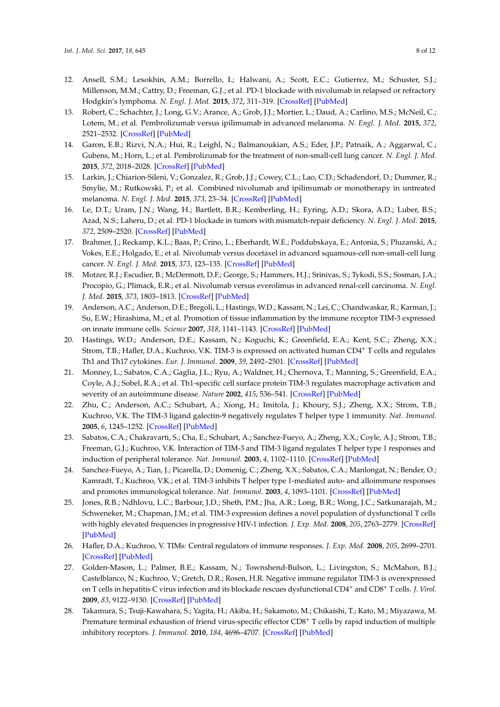- 12. Ansell, S.M.; Lesokhin, A.M.; Borrello, I.; Halwani, A.; Scott, E.C.; Gutierrez, M.; Schuster, S.J.; Millenson, M.M.; Cattry, D.; Freeman, G.J.; et al. PD-1 blockade with nivolumab in relapsed or refractory Hodgkin's lymphoma. *N. Engl. J. Med.* **2015**, *372*, 311–319. [\[CrossRef\]](http://dx.doi.org/10.1056/NEJMoa1411087) [\[PubMed\]](http://www.ncbi.nlm.nih.gov/pubmed/25482239)
- 13. Robert, C.; Schachter, J.; Long, G.V.; Arance, A.; Grob, J.J.; Mortier, L.; Daud, A.; Carlino, M.S.; McNeil, C.; Lotem, M.; et al. Pembrolizumab versus ipilimumab in advanced melanoma. *N. Engl. J. Med.* **2015**, *372*, 2521–2532. [\[CrossRef\]](http://dx.doi.org/10.1056/NEJMoa1503093) [\[PubMed\]](http://www.ncbi.nlm.nih.gov/pubmed/25891173)
- 14. Garon, E.B.; Rizvi, N.A.; Hui, R.; Leighl, N.; Balmanoukian, A.S.; Eder, J.P.; Patnaik, A.; Aggarwal, C.; Gubens, M.; Horn, L.; et al. Pembrolizumab for the treatment of non-small-cell lung cancer. *N. Engl. J. Med.* **2015**, *372*, 2018–2028. [\[CrossRef\]](http://dx.doi.org/10.1056/NEJMoa1501824) [\[PubMed\]](http://www.ncbi.nlm.nih.gov/pubmed/25891174)
- 15. Larkin, J.; Chiarion-Sileni, V.; Gonzalez, R.; Grob, J.J.; Cowey, C.L.; Lao, C.D.; Schadendorf, D.; Dummer, R.; Smylie, M.; Rutkowski, P.; et al. Combined nivolumab and ipilimumab or monotherapy in untreated melanoma. *N. Engl. J. Med.* **2015**, *373*, 23–34. [\[CrossRef\]](http://dx.doi.org/10.1056/NEJMoa1504030) [\[PubMed\]](http://www.ncbi.nlm.nih.gov/pubmed/26027431)
- 16. Le, D.T.; Uram, J.N.; Wang, H.; Bartlett, B.R.; Kemberling, H.; Eyring, A.D.; Skora, A.D.; Luber, B.S.; Azad, N.S.; Laheru, D.; et al. PD-1 blockade in tumors with mismatch-repair deficiency. *N. Engl. J. Med.* **2015**, *372*, 2509–2520. [\[CrossRef\]](http://dx.doi.org/10.1056/NEJMoa1500596) [\[PubMed\]](http://www.ncbi.nlm.nih.gov/pubmed/26028255)
- 17. Brahmer, J.; Reckamp, K.L.; Baas, P.; Crino, L.; Eberhardt, W.E.; Poddubskaya, E.; Antonia, S.; Pluzanski, A.; Vokes, E.E.; Holgado, E.; et al. Nivolumab versus docetaxel in advanced squamous-cell non-small-cell lung cancer. *N. Engl. J. Med.* **2015**, *373*, 123–135. [\[CrossRef\]](http://dx.doi.org/10.1056/NEJMoa1504627) [\[PubMed\]](http://www.ncbi.nlm.nih.gov/pubmed/26028407)
- <span id="page-7-0"></span>18. Motzer, R.J.; Escudier, B.; McDermott, D.F.; George, S.; Hammers, H.J.; Srinivas, S.; Tykodi, S.S.; Sosman, J.A.; Procopio, G.; Plimack, E.R.; et al. Nivolumab versus everolimus in advanced renal-cell carcinoma. *N. Engl. J. Med.* **2015**, *373*, 1803–1813. [\[CrossRef\]](http://dx.doi.org/10.1056/NEJMoa1510665) [\[PubMed\]](http://www.ncbi.nlm.nih.gov/pubmed/26406148)
- <span id="page-7-1"></span>19. Anderson, A.C.; Anderson, D.E.; Bregoli, L.; Hastings, W.D.; Kassam, N.; Lei, C.; Chandwaskar, R.; Karman, J.; Su, E.W.; Hirashima, M.; et al. Promotion of tissue inflammation by the immune receptor TIM-3 expressed on innate immune cells. *Science* **2007**, *318*, 1141–1143. [\[CrossRef\]](http://dx.doi.org/10.1126/science.1148536) [\[PubMed\]](http://www.ncbi.nlm.nih.gov/pubmed/18006747)
- 20. Hastings, W.D.; Anderson, D.E.; Kassam, N.; Koguchi, K.; Greenfield, E.A.; Kent, S.C.; Zheng, X.X.; Strom, T.B.; Hafler, D.A.; Kuchroo, V.K. TIM-3 is expressed on activated human CD4<sup>+</sup> T cells and regulates Th1 and Th17 cytokines. *Eur. J. Immunol.* **2009**, *39*, 2492–2501. [\[CrossRef\]](http://dx.doi.org/10.1002/eji.200939274) [\[PubMed\]](http://www.ncbi.nlm.nih.gov/pubmed/19676072)
- <span id="page-7-2"></span>21. Monney, L.; Sabatos, C.A.; Gaglia, J.L.; Ryu, A.; Waldner, H.; Chernova, T.; Manning, S.; Greenfield, E.A.; Coyle, A.J.; Sobel, R.A.; et al. Th1-specific cell surface protein TIM-3 regulates macrophage activation and severity of an autoimmune disease. *Nature* **2002**, *415*, 536–541. [\[CrossRef\]](http://dx.doi.org/10.1038/415536a) [\[PubMed\]](http://www.ncbi.nlm.nih.gov/pubmed/11823861)
- <span id="page-7-3"></span>22. Zhu, C.; Anderson, A.C.; Schubart, A.; Xiong, H.; Imitola, J.; Khoury, S.J.; Zheng, X.X.; Strom, T.B.; Kuchroo, V.K. The TIM-3 ligand galectin-9 negatively regulates T helper type 1 immunity. *Nat. Immunol.* **2005**, *6*, 1245–1252. [\[CrossRef\]](http://dx.doi.org/10.1038/ni1271) [\[PubMed\]](http://www.ncbi.nlm.nih.gov/pubmed/16286920)
- <span id="page-7-4"></span>23. Sabatos, C.A.; Chakravarti, S.; Cha, E.; Schubart, A.; Sanchez-Fueyo, A.; Zheng, X.X.; Coyle, A.J.; Strom, T.B.; Freeman, G.J.; Kuchroo, V.K. Interaction of TIM-3 and TIM-3 ligand regulates T helper type 1 responses and induction of peripheral tolerance. *Nat. Immunol.* **2003**, *4*, 1102–1110. [\[CrossRef\]](http://dx.doi.org/10.1038/ni988) [\[PubMed\]](http://www.ncbi.nlm.nih.gov/pubmed/14556006)
- <span id="page-7-5"></span>24. Sanchez-Fueyo, A.; Tian, J.; Picarella, D.; Domenig, C.; Zheng, X.X.; Sabatos, C.A.; Manlongat, N.; Bender, O.; Kamradt, T.; Kuchroo, V.K.; et al. TIM-3 inhibits T helper type 1-mediated auto- and alloimmune responses and promotes immunological tolerance. *Nat. Immunol.* **2003**, *4*, 1093–1101. [\[CrossRef\]](http://dx.doi.org/10.1038/ni987) [\[PubMed\]](http://www.ncbi.nlm.nih.gov/pubmed/14556005)
- <span id="page-7-6"></span>25. Jones, R.B.; Ndhlovu, L.C.; Barbour, J.D.; Sheth, P.M.; Jha, A.R.; Long, B.R.; Wong, J.C.; Satkunarajah, M.; Schweneker, M.; Chapman, J.M.; et al. TIM-3 expression defines a novel population of dysfunctional T cells with highly elevated frequencies in progressive HIV-1 infection. *J. Exp. Med.* **2008**, *205*, 2763–2779. [\[CrossRef\]](http://dx.doi.org/10.1084/jem.20081398) [\[PubMed\]](http://www.ncbi.nlm.nih.gov/pubmed/19001139)
- 26. Hafler, D.A.; Kuchroo, V. TIMs: Central regulators of immune responses. *J. Exp. Med.* **2008**, *205*, 2699–2701. [\[CrossRef\]](http://dx.doi.org/10.1084/jem.20082429) [\[PubMed\]](http://www.ncbi.nlm.nih.gov/pubmed/19015312)
- <span id="page-7-8"></span>27. Golden-Mason, L.; Palmer, B.E.; Kassam, N.; Townshend-Bulson, L.; Livingston, S.; McMahon, B.J.; Castelblanco, N.; Kuchroo, V.; Gretch, D.R.; Rosen, H.R. Negative immune regulator TIM-3 is overexpressed on T cells in hepatitis C virus infection and its blockade rescues dysfunctional CD4<sup>+</sup> and CD8<sup>+</sup> T cells. *J. Virol.* **2009**, *83*, 9122–9130. [\[CrossRef\]](http://dx.doi.org/10.1128/JVI.00639-09) [\[PubMed\]](http://www.ncbi.nlm.nih.gov/pubmed/19587053)
- <span id="page-7-7"></span>28. Takamura, S.; Tsuji-Kawahara, S.; Yagita, H.; Akiba, H.; Sakamoto, M.; Chikaishi, T.; Kato, M.; Miyazawa, M. Premature terminal exhaustion of friend virus-specific effector CD8<sup>+</sup> T cells by rapid induction of multiple inhibitory receptors. *J. Immunol.* **2010**, *184*, 4696–4707. [\[CrossRef\]](http://dx.doi.org/10.4049/jimmunol.0903478) [\[PubMed\]](http://www.ncbi.nlm.nih.gov/pubmed/20351188)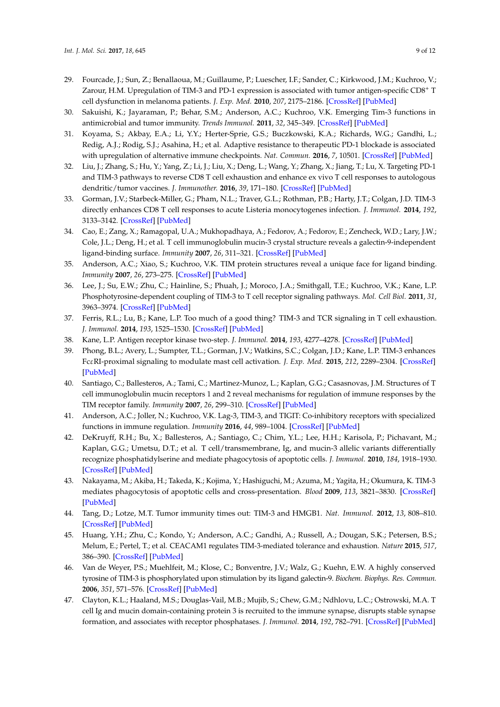- <span id="page-8-0"></span>29. Fourcade, J.; Sun, Z.; Benallaoua, M.; Guillaume, P.; Luescher, I.F.; Sander, C.; Kirkwood, J.M.; Kuchroo, V.; Zarour, H.M. Upregulation of TIM-3 and PD-1 expression is associated with tumor antigen-specific CD8<sup>+</sup> T cell dysfunction in melanoma patients. *J. Exp. Med.* **2010**, *207*, 2175–2186. [\[CrossRef\]](http://dx.doi.org/10.1084/jem.20100637) [\[PubMed\]](http://www.ncbi.nlm.nih.gov/pubmed/20819923)
- 30. Sakuishi, K.; Jayaraman, P.; Behar, S.M.; Anderson, A.C.; Kuchroo, V.K. Emerging Tim-3 functions in antimicrobial and tumor immunity. *Trends Immunol.* **2011**, *32*, 345–349. [\[CrossRef\]](http://dx.doi.org/10.1016/j.it.2011.05.003) [\[PubMed\]](http://www.ncbi.nlm.nih.gov/pubmed/21697013)
- 31. Koyama, S.; Akbay, E.A.; Li, Y.Y.; Herter-Sprie, G.S.; Buczkowski, K.A.; Richards, W.G.; Gandhi, L.; Redig, A.J.; Rodig, S.J.; Asahina, H.; et al. Adaptive resistance to therapeutic PD-1 blockade is associated with upregulation of alternative immune checkpoints. *Nat. Commun.* **2016**, *7*, 10501. [\[CrossRef\]](http://dx.doi.org/10.1038/ncomms10501) [\[PubMed\]](http://www.ncbi.nlm.nih.gov/pubmed/26883990)
- <span id="page-8-1"></span>32. Liu, J.; Zhang, S.; Hu, Y.; Yang, Z.; Li, J.; Liu, X.; Deng, L.; Wang, Y.; Zhang, X.; Jiang, T.; Lu, X. Targeting PD-1 and TIM-3 pathways to reverse CD8 T cell exhaustion and enhance ex vivo T cell responses to autologous dendritic/tumor vaccines. *J. Immunother.* **2016**, *39*, 171–180. [\[CrossRef\]](http://dx.doi.org/10.1097/CJI.0000000000000122) [\[PubMed\]](http://www.ncbi.nlm.nih.gov/pubmed/27070448)
- <span id="page-8-2"></span>33. Gorman, J.V.; Starbeck-Miller, G.; Pham, N.L.; Traver, G.L.; Rothman, P.B.; Harty, J.T.; Colgan, J.D. TIM-3 directly enhances CD8 T cell responses to acute Listeria monocytogenes infection. *J. Immunol.* **2014**, *192*, 3133–3142. [\[CrossRef\]](http://dx.doi.org/10.4049/jimmunol.1302290) [\[PubMed\]](http://www.ncbi.nlm.nih.gov/pubmed/24567532)
- <span id="page-8-3"></span>34. Cao, E.; Zang, X.; Ramagopal, U.A.; Mukhopadhaya, A.; Fedorov, A.; Fedorov, E.; Zencheck, W.D.; Lary, J.W.; Cole, J.L.; Deng, H.; et al. T cell immunoglobulin mucin-3 crystal structure reveals a galectin-9-independent ligand-binding surface. *Immunity* **2007**, *26*, 311–321. [\[CrossRef\]](http://dx.doi.org/10.1016/j.immuni.2007.01.016) [\[PubMed\]](http://www.ncbi.nlm.nih.gov/pubmed/17363302)
- 35. Anderson, A.C.; Xiao, S.; Kuchroo, V.K. TIM protein structures reveal a unique face for ligand binding. *Immunity* **2007**, *26*, 273–275. [\[CrossRef\]](http://dx.doi.org/10.1016/j.immuni.2007.03.004) [\[PubMed\]](http://www.ncbi.nlm.nih.gov/pubmed/17376389)
- <span id="page-8-11"></span>36. Lee, J.; Su, E.W.; Zhu, C.; Hainline, S.; Phuah, J.; Moroco, J.A.; Smithgall, T.E.; Kuchroo, V.K.; Kane, L.P. Phosphotyrosine-dependent coupling of TIM-3 to T cell receptor signaling pathways. *Mol. Cell Biol.* **2011**, *31*, 3963–3974. [\[CrossRef\]](http://dx.doi.org/10.1128/MCB.05297-11) [\[PubMed\]](http://www.ncbi.nlm.nih.gov/pubmed/21807895)
- 37. Ferris, R.L.; Lu, B.; Kane, L.P. Too much of a good thing? TIM-3 and TCR signaling in T cell exhaustion. *J. Immunol.* **2014**, *193*, 1525–1530. [\[CrossRef\]](http://dx.doi.org/10.4049/jimmunol.1400557) [\[PubMed\]](http://www.ncbi.nlm.nih.gov/pubmed/25086175)
- 38. Kane, L.P. Antigen receptor kinase two-step. *J. Immunol.* **2014**, *193*, 4277–4278. [\[CrossRef\]](http://dx.doi.org/10.4049/jimmunol.1402287) [\[PubMed\]](http://www.ncbi.nlm.nih.gov/pubmed/25326544)
- <span id="page-8-4"></span>39. Phong, B.L.; Avery, L.; Sumpter, T.L.; Gorman, J.V.; Watkins, S.C.; Colgan, J.D.; Kane, L.P. TIM-3 enhances FcεRI-proximal signaling to modulate mast cell activation. *J. Exp. Med.* **2015**, *212*, 2289–2304. [\[CrossRef\]](http://dx.doi.org/10.1084/jem.20150388) [\[PubMed\]](http://www.ncbi.nlm.nih.gov/pubmed/26598760)
- <span id="page-8-5"></span>40. Santiago, C.; Ballesteros, A.; Tami, C.; Martinez-Munoz, L.; Kaplan, G.G.; Casasnovas, J.M. Structures of T cell immunoglobulin mucin receptors 1 and 2 reveal mechanisms for regulation of immune responses by the TIM receptor family. *Immunity* **2007**, *26*, 299–310. [\[CrossRef\]](http://dx.doi.org/10.1016/j.immuni.2007.01.014) [\[PubMed\]](http://www.ncbi.nlm.nih.gov/pubmed/17363299)
- <span id="page-8-6"></span>41. Anderson, A.C.; Joller, N.; Kuchroo, V.K. Lag-3, TIM-3, and TIGIT: Co-inhibitory receptors with specialized functions in immune regulation. *Immunity* **2016**, *44*, 989–1004. [\[CrossRef\]](http://dx.doi.org/10.1016/j.immuni.2016.05.001) [\[PubMed\]](http://www.ncbi.nlm.nih.gov/pubmed/27192565)
- <span id="page-8-7"></span>42. DeKruyff, R.H.; Bu, X.; Ballesteros, A.; Santiago, C.; Chim, Y.L.; Lee, H.H.; Karisola, P.; Pichavant, M.; Kaplan, G.G.; Umetsu, D.T.; et al. T cell/transmembrane, Ig, and mucin-3 allelic variants differentially recognize phosphatidylserine and mediate phagocytosis of apoptotic cells. *J. Immunol.* **2010**, *184*, 1918–1930. [\[CrossRef\]](http://dx.doi.org/10.4049/jimmunol.0903059) [\[PubMed\]](http://www.ncbi.nlm.nih.gov/pubmed/20083673)
- <span id="page-8-8"></span>43. Nakayama, M.; Akiba, H.; Takeda, K.; Kojima, Y.; Hashiguchi, M.; Azuma, M.; Yagita, H.; Okumura, K. TIM-3 mediates phagocytosis of apoptotic cells and cross-presentation. *Blood* **2009**, *113*, 3821–3830. [\[CrossRef\]](http://dx.doi.org/10.1182/blood-2008-10-185884) [\[PubMed\]](http://www.ncbi.nlm.nih.gov/pubmed/19224762)
- <span id="page-8-9"></span>44. Tang, D.; Lotze, M.T. Tumor immunity times out: TIM-3 and HMGB1. *Nat. Immunol.* **2012**, *13*, 808–810. [\[CrossRef\]](http://dx.doi.org/10.1038/ni.2396) [\[PubMed\]](http://www.ncbi.nlm.nih.gov/pubmed/22910384)
- <span id="page-8-10"></span>45. Huang, Y.H.; Zhu, C.; Kondo, Y.; Anderson, A.C.; Gandhi, A.; Russell, A.; Dougan, S.K.; Petersen, B.S.; Melum, E.; Pertel, T.; et al. CEACAM1 regulates TIM-3-mediated tolerance and exhaustion. *Nature* **2015**, *517*, 386–390. [\[CrossRef\]](http://dx.doi.org/10.1038/nature13848) [\[PubMed\]](http://www.ncbi.nlm.nih.gov/pubmed/25363763)
- <span id="page-8-12"></span>46. Van de Weyer, P.S.; Muehlfeit, M.; Klose, C.; Bonventre, J.V.; Walz, G.; Kuehn, E.W. A highly conserved tyrosine of TIM-3 is phosphorylated upon stimulation by its ligand galectin-9. *Biochem. Biophys. Res. Commun.* **2006**, *351*, 571–576. [\[CrossRef\]](http://dx.doi.org/10.1016/j.bbrc.2006.10.079) [\[PubMed\]](http://www.ncbi.nlm.nih.gov/pubmed/17069754)
- <span id="page-8-13"></span>47. Clayton, K.L.; Haaland, M.S.; Douglas-Vail, M.B.; Mujib, S.; Chew, G.M.; Ndhlovu, L.C.; Ostrowski, M.A. T cell Ig and mucin domain-containing protein 3 is recruited to the immune synapse, disrupts stable synapse formation, and associates with receptor phosphatases. *J. Immunol.* **2014**, *192*, 782–791. [\[CrossRef\]](http://dx.doi.org/10.4049/jimmunol.1302663) [\[PubMed\]](http://www.ncbi.nlm.nih.gov/pubmed/24337741)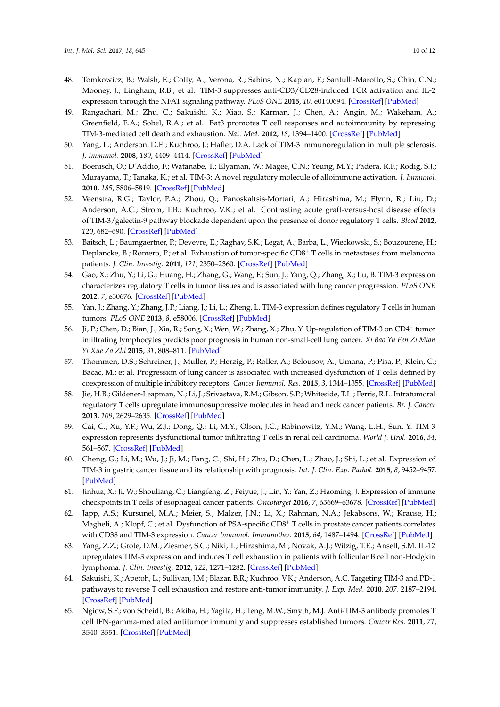- <span id="page-9-0"></span>48. Tomkowicz, B.; Walsh, E.; Cotty, A.; Verona, R.; Sabins, N.; Kaplan, F.; Santulli-Marotto, S.; Chin, C.N.; Mooney, J.; Lingham, R.B.; et al. TIM-3 suppresses anti-CD3/CD28-induced TCR activation and IL-2 expression through the NFAT signaling pathway. *PLoS ONE* **2015**, *10*, e0140694. [\[CrossRef\]](http://dx.doi.org/10.1371/journal.pone.0140694) [\[PubMed\]](http://www.ncbi.nlm.nih.gov/pubmed/26492563)
- <span id="page-9-1"></span>49. Rangachari, M.; Zhu, C.; Sakuishi, K.; Xiao, S.; Karman, J.; Chen, A.; Angin, M.; Wakeham, A.; Greenfield, E.A.; Sobel, R.A.; et al. Bat3 promotes T cell responses and autoimmunity by repressing TIM-3-mediated cell death and exhaustion. *Nat. Med.* **2012**, *18*, 1394–1400. [\[CrossRef\]](http://dx.doi.org/10.1038/nm.2871) [\[PubMed\]](http://www.ncbi.nlm.nih.gov/pubmed/22863785)
- <span id="page-9-2"></span>50. Yang, L.; Anderson, D.E.; Kuchroo, J.; Hafler, D.A. Lack of TIM-3 immunoregulation in multiple sclerosis. *J. Immunol.* **2008**, *180*, 4409–4414. [\[CrossRef\]](http://dx.doi.org/10.4049/jimmunol.180.7.4409) [\[PubMed\]](http://www.ncbi.nlm.nih.gov/pubmed/18354161)
- <span id="page-9-3"></span>51. Boenisch, O.; D'Addio, F.; Watanabe, T.; Elyaman, W.; Magee, C.N.; Yeung, M.Y.; Padera, R.F.; Rodig, S.J.; Murayama, T.; Tanaka, K.; et al. TIM-3: A novel regulatory molecule of alloimmune activation. *J. Immunol.* **2010**, *185*, 5806–5819. [\[CrossRef\]](http://dx.doi.org/10.4049/jimmunol.0903435) [\[PubMed\]](http://www.ncbi.nlm.nih.gov/pubmed/20956339)
- <span id="page-9-4"></span>52. Veenstra, R.G.; Taylor, P.A.; Zhou, Q.; Panoskaltsis-Mortari, A.; Hirashima, M.; Flynn, R.; Liu, D.; Anderson, A.C.; Strom, T.B.; Kuchroo, V.K.; et al. Contrasting acute graft-versus-host disease effects of TIM-3/galectin-9 pathway blockade dependent upon the presence of donor regulatory T cells. *Blood* **2012**, *120*, 682–690. [\[CrossRef\]](http://dx.doi.org/10.1182/blood-2011-10-387977) [\[PubMed\]](http://www.ncbi.nlm.nih.gov/pubmed/22677125)
- <span id="page-9-5"></span>53. Baitsch, L.; Baumgaertner, P.; Devevre, E.; Raghav, S.K.; Legat, A.; Barba, L.; Wieckowski, S.; Bouzourene, H.; Deplancke, B.; Romero, P.; et al. Exhaustion of tumor-specific CD8<sup>+</sup> T cells in metastases from melanoma patients. *J. Clin. Investig.* **2011**, *121*, 2350–2360. [\[CrossRef\]](http://dx.doi.org/10.1172/JCI46102) [\[PubMed\]](http://www.ncbi.nlm.nih.gov/pubmed/21555851)
- <span id="page-9-6"></span>54. Gao, X.; Zhu, Y.; Li, G.; Huang, H.; Zhang, G.; Wang, F.; Sun, J.; Yang, Q.; Zhang, X.; Lu, B. TIM-3 expression characterizes regulatory T cells in tumor tissues and is associated with lung cancer progression. *PLoS ONE* **2012**, *7*, e30676. [\[CrossRef\]](http://dx.doi.org/10.1371/journal.pone.0030676) [\[PubMed\]](http://www.ncbi.nlm.nih.gov/pubmed/22363469)
- <span id="page-9-7"></span>55. Yan, J.; Zhang, Y.; Zhang, J.P.; Liang, J.; Li, L.; Zheng, L. TIM-3 expression defines regulatory T cells in human tumors. *PLoS ONE* **2013**, *8*, e58006. [\[CrossRef\]](http://dx.doi.org/10.1371/journal.pone.0058006) [\[PubMed\]](http://www.ncbi.nlm.nih.gov/pubmed/23526963)
- <span id="page-9-8"></span>56. Ji, P.; Chen, D.; Bian, J.; Xia, R.; Song, X.; Wen, W.; Zhang, X.; Zhu, Y. Up-regulation of TIM-3 on CD4<sup>+</sup> tumor infiltrating lymphocytes predicts poor prognosis in human non-small-cell lung cancer. *Xi Bao Yu Fen Zi Mian Yi Xue Za Zhi* **2015**, *31*, 808–811. [\[PubMed\]](http://www.ncbi.nlm.nih.gov/pubmed/26062425)
- <span id="page-9-9"></span>57. Thommen, D.S.; Schreiner, J.; Muller, P.; Herzig, P.; Roller, A.; Belousov, A.; Umana, P.; Pisa, P.; Klein, C.; Bacac, M.; et al. Progression of lung cancer is associated with increased dysfunction of T cells defined by coexpression of multiple inhibitory receptors. *Cancer Immunol. Res.* **2015**, *3*, 1344–1355. [\[CrossRef\]](http://dx.doi.org/10.1158/2326-6066.CIR-15-0097) [\[PubMed\]](http://www.ncbi.nlm.nih.gov/pubmed/26253731)
- <span id="page-9-10"></span>58. Jie, H.B.; Gildener-Leapman, N.; Li, J.; Srivastava, R.M.; Gibson, S.P.; Whiteside, T.L.; Ferris, R.L. Intratumoral regulatory T cells upregulate immunosuppressive molecules in head and neck cancer patients. *Br. J. Cancer* **2013**, *109*, 2629–2635. [\[CrossRef\]](http://dx.doi.org/10.1038/bjc.2013.645) [\[PubMed\]](http://www.ncbi.nlm.nih.gov/pubmed/24169351)
- <span id="page-9-11"></span>59. Cai, C.; Xu, Y.F.; Wu, Z.J.; Dong, Q.; Li, M.Y.; Olson, J.C.; Rabinowitz, Y.M.; Wang, L.H.; Sun, Y. TIM-3 expression represents dysfunctional tumor infiltrating T cells in renal cell carcinoma. *World J. Urol.* **2016**, *34*, 561–567. [\[CrossRef\]](http://dx.doi.org/10.1007/s00345-015-1656-7) [\[PubMed\]](http://www.ncbi.nlm.nih.gov/pubmed/26253654)
- <span id="page-9-12"></span>60. Cheng, G.; Li, M.; Wu, J.; Ji, M.; Fang, C.; Shi, H.; Zhu, D.; Chen, L.; Zhao, J.; Shi, L.; et al. Expression of TIM-3 in gastric cancer tissue and its relationship with prognosis. *Int. J. Clin. Exp. Pathol.* **2015**, *8*, 9452–9457. [\[PubMed\]](http://www.ncbi.nlm.nih.gov/pubmed/26464703)
- <span id="page-9-13"></span>61. Jinhua, X.; Ji, W.; Shouliang, C.; Liangfeng, Z.; Feiyue, J.; Lin, Y.; Yan, Z.; Haoming, J. Expression of immune checkpoints in T cells of esophageal cancer patients. *Oncotarget* **2016**, *7*, 63669–63678. [\[CrossRef\]](http://dx.doi.org/10.18632/oncotarget.11611) [\[PubMed\]](http://www.ncbi.nlm.nih.gov/pubmed/27577071)
- <span id="page-9-14"></span>62. Japp, A.S.; Kursunel, M.A.; Meier, S.; Malzer, J.N.; Li, X.; Rahman, N.A.; Jekabsons, W.; Krause, H.; Magheli, A.; Klopf, C.; et al. Dysfunction of PSA-specific CD8<sup>+</sup> T cells in prostate cancer patients correlates with CD38 and TIM-3 expression. *Cancer Immunol. Immunother.* **2015**, *64*, 1487–1494. [\[CrossRef\]](http://dx.doi.org/10.1007/s00262-015-1752-y) [\[PubMed\]](http://www.ncbi.nlm.nih.gov/pubmed/26289091)
- <span id="page-9-15"></span>63. Yang, Z.Z.; Grote, D.M.; Ziesmer, S.C.; Niki, T.; Hirashima, M.; Novak, A.J.; Witzig, T.E.; Ansell, S.M. IL-12 upregulates TIM-3 expression and induces T cell exhaustion in patients with follicular B cell non-Hodgkin lymphoma. *J. Clin. Investig.* **2012**, *122*, 1271–1282. [\[CrossRef\]](http://dx.doi.org/10.1172/JCI59806) [\[PubMed\]](http://www.ncbi.nlm.nih.gov/pubmed/22426209)
- <span id="page-9-16"></span>64. Sakuishi, K.; Apetoh, L.; Sullivan, J.M.; Blazar, B.R.; Kuchroo, V.K.; Anderson, A.C. Targeting TIM-3 and PD-1 pathways to reverse T cell exhaustion and restore anti-tumor immunity. *J. Exp. Med.* **2010**, *207*, 2187–2194. [\[CrossRef\]](http://dx.doi.org/10.1084/jem.20100643) [\[PubMed\]](http://www.ncbi.nlm.nih.gov/pubmed/20819927)
- <span id="page-9-17"></span>65. Ngiow, S.F.; von Scheidt, B.; Akiba, H.; Yagita, H.; Teng, M.W.; Smyth, M.J. Anti-TIM-3 antibody promotes T cell IFN-gamma-mediated antitumor immunity and suppresses established tumors. *Cancer Res.* **2011**, *71*, 3540–3551. [\[CrossRef\]](http://dx.doi.org/10.1158/0008-5472.CAN-11-0096) [\[PubMed\]](http://www.ncbi.nlm.nih.gov/pubmed/21430066)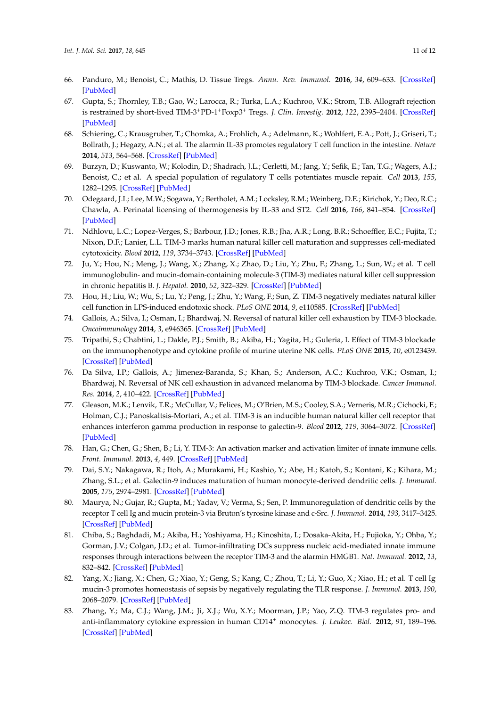- <span id="page-10-0"></span>66. Panduro, M.; Benoist, C.; Mathis, D. Tissue Tregs. *Annu. Rev. Immunol.* **2016**, *34*, 609–633. [\[CrossRef\]](http://dx.doi.org/10.1146/annurev-immunol-032712-095948) [\[PubMed\]](http://www.ncbi.nlm.nih.gov/pubmed/27168246)
- <span id="page-10-1"></span>67. Gupta, S.; Thornley, T.B.; Gao, W.; Larocca, R.; Turka, L.A.; Kuchroo, V.K.; Strom, T.B. Allograft rejection is restrained by short-lived TIM-3+PD-1+Foxp3<sup>+</sup> Tregs. *J. Clin. Investig.* **2012**, *122*, 2395–2404. [\[CrossRef\]](http://dx.doi.org/10.1172/JCI45138) [\[PubMed\]](http://www.ncbi.nlm.nih.gov/pubmed/22684103)
- 68. Schiering, C.; Krausgruber, T.; Chomka, A.; Frohlich, A.; Adelmann, K.; Wohlfert, E.A.; Pott, J.; Griseri, T.; Bollrath, J.; Hegazy, A.N.; et al. The alarmin IL-33 promotes regulatory T cell function in the intestine. *Nature* **2014**, *513*, 564–568. [\[CrossRef\]](http://dx.doi.org/10.1038/nature13577) [\[PubMed\]](http://www.ncbi.nlm.nih.gov/pubmed/25043027)
- 69. Burzyn, D.; Kuswanto, W.; Kolodin, D.; Shadrach, J.L.; Cerletti, M.; Jang, Y.; Sefik, E.; Tan, T.G.; Wagers, A.J.; Benoist, C.; et al. A special population of regulatory T cells potentiates muscle repair. *Cell* **2013**, *155*, 1282–1295. [\[CrossRef\]](http://dx.doi.org/10.1016/j.cell.2013.10.054) [\[PubMed\]](http://www.ncbi.nlm.nih.gov/pubmed/24315098)
- <span id="page-10-2"></span>70. Odegaard, J.I.; Lee, M.W.; Sogawa, Y.; Bertholet, A.M.; Locksley, R.M.; Weinberg, D.E.; Kirichok, Y.; Deo, R.C.; Chawla, A. Perinatal licensing of thermogenesis by IL-33 and ST2. *Cell* **2016**, *166*, 841–854. [\[CrossRef\]](http://dx.doi.org/10.1016/j.cell.2016.06.040) [\[PubMed\]](http://www.ncbi.nlm.nih.gov/pubmed/27453471)
- <span id="page-10-3"></span>71. Ndhlovu, L.C.; Lopez-Verges, S.; Barbour, J.D.; Jones, R.B.; Jha, A.R.; Long, B.R.; Schoeffler, E.C.; Fujita, T.; Nixon, D.F.; Lanier, L.L. TIM-3 marks human natural killer cell maturation and suppresses cell-mediated cytotoxicity. *Blood* **2012**, *119*, 3734–3743. [\[CrossRef\]](http://dx.doi.org/10.1182/blood-2011-11-392951) [\[PubMed\]](http://www.ncbi.nlm.nih.gov/pubmed/22383801)
- <span id="page-10-4"></span>72. Ju, Y.; Hou, N.; Meng, J.; Wang, X.; Zhang, X.; Zhao, D.; Liu, Y.; Zhu, F.; Zhang, L.; Sun, W.; et al. T cell immunoglobulin- and mucin-domain-containing molecule-3 (TIM-3) mediates natural killer cell suppression in chronic hepatitis B. *J. Hepatol.* **2010**, *52*, 322–329. [\[CrossRef\]](http://dx.doi.org/10.1016/j.jhep.2009.12.005) [\[PubMed\]](http://www.ncbi.nlm.nih.gov/pubmed/20133006)
- <span id="page-10-5"></span>73. Hou, H.; Liu, W.; Wu, S.; Lu, Y.; Peng, J.; Zhu, Y.; Wang, F.; Sun, Z. TIM-3 negatively mediates natural killer cell function in LPS-induced endotoxic shock. *PLoS ONE* **2014**, *9*, e110585. [\[CrossRef\]](http://dx.doi.org/10.1371/journal.pone.0110585) [\[PubMed\]](http://www.ncbi.nlm.nih.gov/pubmed/25337993)
- 74. Gallois, A.; Silva, I.; Osman, I.; Bhardwaj, N. Reversal of natural killer cell exhaustion by TIM-3 blockade. *Oncoimmunology* **2014**, *3*, e946365. [\[CrossRef\]](http://dx.doi.org/10.4161/21624011.2014.946365) [\[PubMed\]](http://www.ncbi.nlm.nih.gov/pubmed/25964857)
- 75. Tripathi, S.; Chabtini, L.; Dakle, P.J.; Smith, B.; Akiba, H.; Yagita, H.; Guleria, I. Effect of TIM-3 blockade on the immunophenotype and cytokine profile of murine uterine NK cells. *PLoS ONE* **2015**, *10*, e0123439. [\[CrossRef\]](http://dx.doi.org/10.1371/journal.pone.0123439) [\[PubMed\]](http://www.ncbi.nlm.nih.gov/pubmed/25897749)
- <span id="page-10-6"></span>76. Da Silva, I.P.; Gallois, A.; Jimenez-Baranda, S.; Khan, S.; Anderson, A.C.; Kuchroo, V.K.; Osman, I.; Bhardwaj, N. Reversal of NK cell exhaustion in advanced melanoma by TIM-3 blockade. *Cancer Immunol. Res.* **2014**, *2*, 410–422. [\[CrossRef\]](http://dx.doi.org/10.1158/2326-6066.CIR-13-0171) [\[PubMed\]](http://www.ncbi.nlm.nih.gov/pubmed/24795354)
- <span id="page-10-7"></span>77. Gleason, M.K.; Lenvik, T.R.; McCullar, V.; Felices, M.; O'Brien, M.S.; Cooley, S.A.; Verneris, M.R.; Cichocki, F.; Holman, C.J.; Panoskaltsis-Mortari, A.; et al. TIM-3 is an inducible human natural killer cell receptor that enhances interferon gamma production in response to galectin-9. *Blood* **2012**, *119*, 3064–3072. [\[CrossRef\]](http://dx.doi.org/10.1182/blood-2011-06-360321) [\[PubMed\]](http://www.ncbi.nlm.nih.gov/pubmed/22323453)
- <span id="page-10-8"></span>78. Han, G.; Chen, G.; Shen, B.; Li, Y. TIM-3: An activation marker and activation limiter of innate immune cells. *Front. Immunol.* **2013**, *4*, 449. [\[CrossRef\]](http://dx.doi.org/10.3389/fimmu.2013.00449) [\[PubMed\]](http://www.ncbi.nlm.nih.gov/pubmed/24339828)
- <span id="page-10-9"></span>79. Dai, S.Y.; Nakagawa, R.; Itoh, A.; Murakami, H.; Kashio, Y.; Abe, H.; Katoh, S.; Kontani, K.; Kihara, M.; Zhang, S.L.; et al. Galectin-9 induces maturation of human monocyte-derived dendritic cells. *J. Immunol.* **2005**, *175*, 2974–2981. [\[CrossRef\]](http://dx.doi.org/10.4049/jimmunol.175.5.2974) [\[PubMed\]](http://www.ncbi.nlm.nih.gov/pubmed/16116184)
- <span id="page-10-10"></span>80. Maurya, N.; Gujar, R.; Gupta, M.; Yadav, V.; Verma, S.; Sen, P. Immunoregulation of dendritic cells by the receptor T cell Ig and mucin protein-3 via Bruton's tyrosine kinase and c-Src. *J. Immunol.* **2014**, *193*, 3417–3425. [\[CrossRef\]](http://dx.doi.org/10.4049/jimmunol.1400395) [\[PubMed\]](http://www.ncbi.nlm.nih.gov/pubmed/25172495)
- <span id="page-10-11"></span>81. Chiba, S.; Baghdadi, M.; Akiba, H.; Yoshiyama, H.; Kinoshita, I.; Dosaka-Akita, H.; Fujioka, Y.; Ohba, Y.; Gorman, J.V.; Colgan, J.D.; et al. Tumor-infiltrating DCs suppress nucleic acid-mediated innate immune responses through interactions between the receptor TIM-3 and the alarmin HMGB1. *Nat. Immunol.* **2012**, *13*, 832–842. [\[CrossRef\]](http://dx.doi.org/10.1038/ni.2376) [\[PubMed\]](http://www.ncbi.nlm.nih.gov/pubmed/22842346)
- <span id="page-10-12"></span>82. Yang, X.; Jiang, X.; Chen, G.; Xiao, Y.; Geng, S.; Kang, C.; Zhou, T.; Li, Y.; Guo, X.; Xiao, H.; et al. T cell Ig mucin-3 promotes homeostasis of sepsis by negatively regulating the TLR response. *J. Immunol.* **2013**, *190*, 2068–2079. [\[CrossRef\]](http://dx.doi.org/10.4049/jimmunol.1202661) [\[PubMed\]](http://www.ncbi.nlm.nih.gov/pubmed/23365080)
- <span id="page-10-13"></span>83. Zhang, Y.; Ma, C.J.; Wang, J.M.; Ji, X.J.; Wu, X.Y.; Moorman, J.P.; Yao, Z.Q. TIM-3 regulates pro- and anti-inflammatory cytokine expression in human CD14<sup>+</sup> monocytes. *J. Leukoc. Biol.* **2012**, *91*, 189–196. [\[CrossRef\]](http://dx.doi.org/10.1189/jlb.1010591) [\[PubMed\]](http://www.ncbi.nlm.nih.gov/pubmed/21844165)